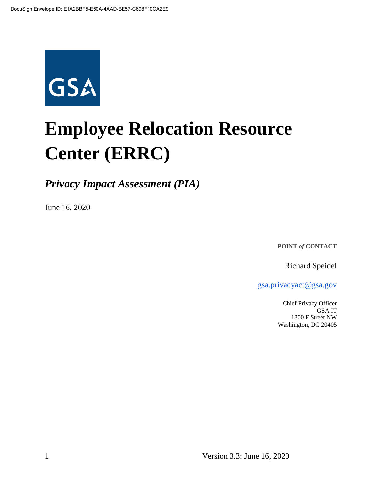

# **Employee Relocation Resource Center (ERRC)**

*Privacy Impact Assessment (PIA)*

June 16, 2020

**POINT** *of* **CONTACT**

Richard Speidel

[gsa.privacyact@gsa.gov](mailto:gsa.privacyact@gsa.gov)

Chief Privacy Officer GSA IT 1800 F Street NW Washington, DC 20405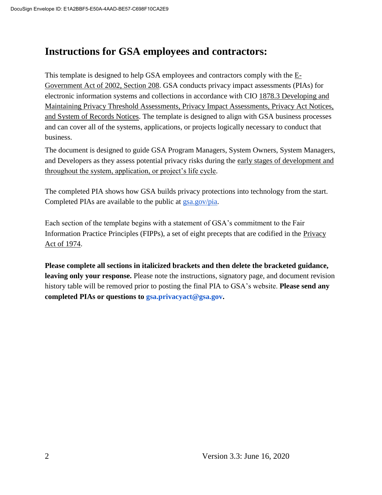## **Instructions for GSA employees and contractors:**

This t[e](https://www.justice.gov/opcl/e-government-act-2002)mplate is designed to help GSA employees and contractors comply with the  $E$ -[Government Act of 2002, Section 208.](https://www.justice.gov/opcl/e-government-act-2002) GSA conducts privacy impact assessments (PIAs) for electronic information systems and collections in accordance with [CIO 1878.3 Developing and](https://insite.gsa.gov/directives-library/developing-and-maintaining-privacy-threshold-assessments-privacy-impact-assessments-privacy-act-notices-and-system-of-records-notices-18783-cio)  [Maintaining Privacy Threshold Assessments, Privacy Impact Assessments, Privacy Act Notices,](https://insite.gsa.gov/directives-library/developing-and-maintaining-privacy-threshold-assessments-privacy-impact-assessments-privacy-act-notices-and-system-of-records-notices-18783-cio)  [and System of Records Notices.](https://insite.gsa.gov/directives-library/developing-and-maintaining-privacy-threshold-assessments-privacy-impact-assessments-privacy-act-notices-and-system-of-records-notices-18783-cio) The template is designed to align with GSA business processes and can cover all of the systems, applications, or projects logically necessary to conduct that business.

The document is designed to guide GSA Program Managers, System Owners, System Managers, and Developers as they assess potential privacy risks during th[e](https://insite.gsa.gov/cdnstatic/insite/Managing_Enterprise_Risk_%5BCIO_IT_Security_06-30_Rev_14%5D_02-01-2019.pdf) [early stages of development and](https://insite.gsa.gov/cdnstatic/insite/Managing_Enterprise_Risk_%5BCIO_IT_Security_06-30_Rev_14%5D_02-01-2019.pdf)  [throughout the system, application, or project's life cycle.](https://insite.gsa.gov/cdnstatic/insite/Managing_Enterprise_Risk_%5BCIO_IT_Security_06-30_Rev_14%5D_02-01-2019.pdf)

The completed PIA shows how GSA builds privacy protections into technology from the start. Completed PIAs are available to the public at [gsa.gov/pia.](https://www.gsa.gov/reference/gsa-privacy-program/privacy-impact-assessments-pia)

Each section of the template begins with a statement of GSA's commitment to the Fair Information Practice Principles (FIPPs), a set of eight precepts that are codified in the [Privacy](https://www.justice.gov/opcl/policy-objectives)  [Act of 1974.](https://www.justice.gov/opcl/policy-objectives)

**Please complete all sections in italicized brackets and then delete the bracketed guidance, leaving only your response.** Please note the instructions, signatory page, and document revision history table will be removed prior to posting the final PIA to GSA's website. **Please send any completed PIAs or questions to gsa.privacyact@gsa.gov.**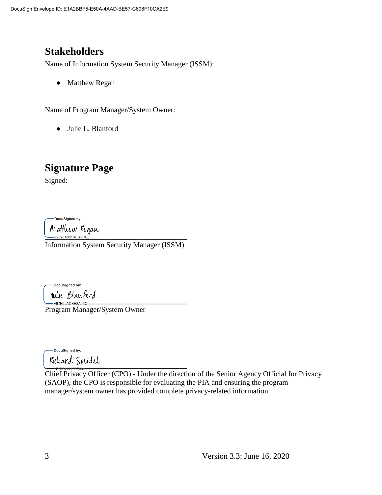# **Stakeholders**

Name of Information System Security Manager (ISSM):

• Matthew Regan

Name of Program Manager/System Owner:

● Julie L. Blanford

# **Signature Page**

Signed:

DocuSigned by:

Mattluw Kegan<br><u>- 92526A8616CB470</u>

Information System Security Manager (ISSM)

DocuSigned by: Julie Blanford

Program Manager/System Owner

DocuSigned by: **\_\_\_\_\_\_\_\_\_\_\_\_\_\_\_\_\_\_\_\_\_\_\_\_\_\_\_\_\_\_\_\_\_\_\_\_\_\_**

Chief Privacy Officer (CPO) - Under the direction of the Senior Agency Official for Privacy (SAOP), the CPO is responsible for evaluating the PIA and ensuring the program manager/system owner has provided complete privacy-related information.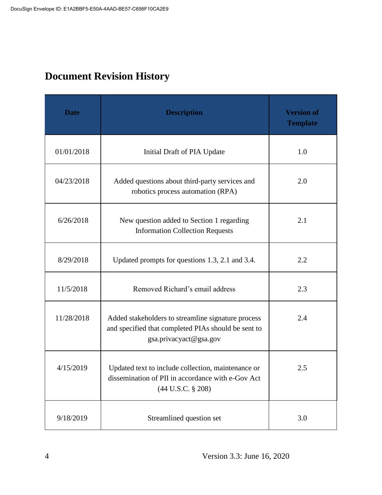# **Document Revision History**

| <b>Date</b> | <b>Description</b>                                                                                                                      | <b>Version of</b><br><b>Template</b> |
|-------------|-----------------------------------------------------------------------------------------------------------------------------------------|--------------------------------------|
| 01/01/2018  | Initial Draft of PIA Update                                                                                                             | 1.0                                  |
| 04/23/2018  | Added questions about third-party services and<br>robotics process automation (RPA)                                                     | 2.0                                  |
| 6/26/2018   | New question added to Section 1 regarding<br><b>Information Collection Requests</b>                                                     | 2.1                                  |
| 8/29/2018   | Updated prompts for questions 1.3, 2.1 and 3.4.                                                                                         | 2.2                                  |
| 11/5/2018   | Removed Richard's email address                                                                                                         | 2.3                                  |
| 11/28/2018  | Added stakeholders to streamline signature process<br>and specified that completed PIAs should be sent to<br>gsa.privacyact@gsa.gov     | 2.4                                  |
| 4/15/2019   | Updated text to include collection, maintenance or<br>dissemination of PII in accordance with e-Gov Act<br>$(44 \text{ U.S.C. } § 208)$ | 2.5                                  |
| 9/18/2019   | Streamlined question set                                                                                                                | 3.0                                  |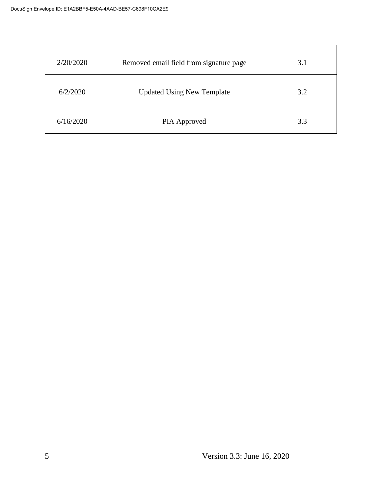| 2/20/2020 | Removed email field from signature page | 3.1 |
|-----------|-----------------------------------------|-----|
| 6/2/2020  | <b>Updated Using New Template</b>       | 3.2 |
| 6/16/2020 | PIA Approved                            | 3.3 |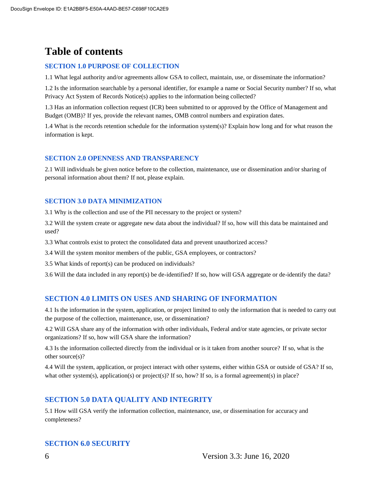# **Table of contents**

#### **SECTION 1.0 PURPOSE OF COLLECTION**

1.1 What legal authority and/or agreements allow GSA to collect, maintain, use, or disseminate the information?

1.2 Is the information searchable by a personal identifier, for example a name or Social Security number? If so, what Privacy Act System of Records Notice(s) applies to the information being collected?

1.3 Has an information collection request (ICR) been submitted to or approved by the Office of Management and Budget (OMB)? If yes, provide the relevant names, OMB control numbers and expiration dates.

1.4 What is the records retention schedule for the information system(s)? Explain how long and for what reason the information is kept.

#### **SECTION 2.0 OPENNESS AND TRANSPARENCY**

2.1 Will individuals be given notice before to the collection, maintenance, use or dissemination and/or sharing of personal information about them? If not, please explain.

#### **SECTION 3.0 DATA MINIMIZATION**

3.1 Why is the collection and use of the PII necessary to the project or system?

3.2 Will the system create or aggregate new data about the individual? If so, how will this data be maintained and used?

3.3 What controls exist to protect the consolidated data and prevent unauthorized access?

3.4 Will the system monitor members of the public, GSA employees, or contractors?

3.5 What kinds of report(s) can be produced on individuals?

3.6 Will the data included in any report(s) be de-identified? If so, how will GSA aggregate or de-identify the data?

#### **SECTION 4.0 LIMITS ON USES AND SHARING OF INFORMATION**

4.1 Is the information in the system, application, or project limited to only the information that is needed to carry out the purpose of the collection, maintenance, use, or dissemination?

4.2 Will GSA share any of the information with other individuals, Federal and/or state agencies, or private sector organizations? If so, how will GSA share the information?

4.3 Is the information collected directly from the individual or is it taken from another source? If so, what is the other source(s)?

4.4 Will the system, application, or project interact with other systems, either within GSA or outside of GSA? If so, what other system(s), application(s) or project(s)? If so, how? If so, is a formal agreement(s) in place?

#### **SECTION 5.0 DATA QUALITY AND INTEGRITY**

5.1 How will GSA verify the information collection, maintenance, use, or dissemination for accuracy and completeness?

#### **SECTION 6.0 SECURITY**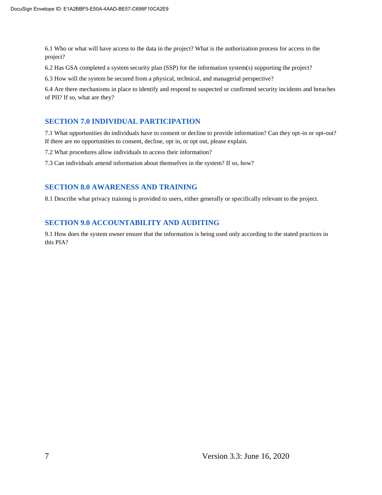6.1 Who or what will have access to the data in the project? What is the authorization process for access to the project?

6.2 Has GSA completed a system security plan (SSP) for the information system(s) supporting the project?

6.3 How will the system be secured from a physical, technical, and managerial perspective?

6.4 Are there mechanisms in place to identify and respond to suspected or confirmed security incidents and breaches of PII? If so, what are they?

#### **SECTION 7.0 INDIVIDUAL PARTICIPATION**

7.1 What opportunities do individuals have to consent or decline to provide information? Can they opt-in or opt-out? If there are no opportunities to consent, decline, opt in, or opt out, please explain.

7.2 What procedures allow individuals to access their information?

7.3 Can individuals amend information about themselves in the system? If so, how?

#### **SECTION 8.0 AWARENESS AND TRAINING**

8.1 Describe what privacy training is provided to users, either generally or specifically relevant to the project.

#### **SECTION 9.0 ACCOUNTABILITY AND AUDITING**

9.1 How does the system owner ensure that the information is being used only according to the stated practices in this PIA?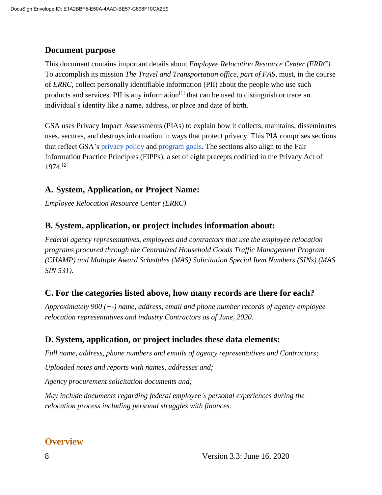#### **Document purpose**

This document contains important details about *Employee Relocation Resource Center (ERRC).*  To accomplish its mission *The Travel and Transportation office, part of FAS*, must, in the course of *ERRC*, collect personally identifiable information (PII) about the people who use such products and services. PII is any information<sup>[1]</sup> that can be used to distinguish or trace an individual's identity like a name, address, or place and date of birth.

GSA uses Privacy Impact Assessments (PIAs) to explain how it collects, maintains, disseminates uses, secures, and destroys information in ways that protect privacy. This PIA comprises sections that reflect GSA's [privacy policy](https://www.gsa.gov/website-information/privacy-and-security-notice) and [program goals.](https://www.gsa.gov/portal/category/21419) The sections also align to the Fair Information Practice Principles (FIPPs), a set of eight precepts codified in the Privacy Act of 1974.[2]

#### **A. System, Application, or Project Name:**

*Employee Relocation Resource Center (ERRC)* 

#### **B. System, application, or project includes information about:**

*Federal agency representatives, employees and contractors that use the employee relocation programs procured through the Centralized Household Goods Traffic Management Program (CHAMP) and Multiple Award Schedules (MAS) Solicitation Special Item Numbers (SINs) (MAS SIN 531).* 

#### **C. For the categories listed above, how many records are there for each?**

*Approximately 900 (+-) name, address, email and phone number records of agency employee relocation representatives and industry Contractors as of June, 2020.* 

#### **D. System, application, or project includes these data elements:**

*Full name, address, phone numbers and emails of agency representatives and Contractors;*

*Uploaded notes and reports with names, addresses and;*

*Agency procurement solicitation documents and;*

*May include documents regarding federal employee's personal experiences during the relocation process including personal struggles with finances.*

#### **Overview**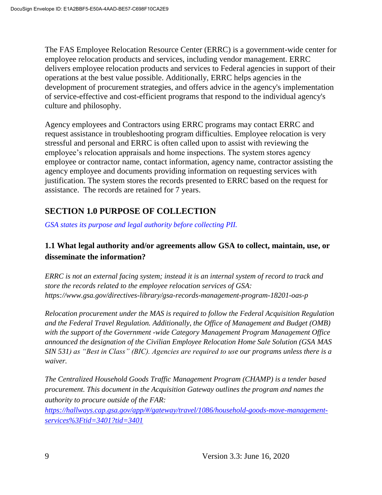The FAS Employee Relocation Resource Center (ERRC) is a government-wide center for employee relocation products and services, including vendor management. ERRC delivers employee relocation products and services to Federal agencies in support of their operations at the best value possible. Additionally, ERRC helps agencies in the development of procurement strategies, and offers advice in the agency's implementation of service-effective and cost-efficient programs that respond to the individual agency's culture and philosophy.

Agency employees and Contractors using ERRC programs may contact ERRC and request assistance in troubleshooting program difficulties. Employee relocation is very stressful and personal and ERRC is often called upon to assist with reviewing the employee's relocation appraisals and home inspections. The system stores agency employee or contractor name, contact information, agency name, contractor assisting the agency employee and documents providing information on requesting services with justification. The system stores the records presented to ERRC based on the request for assistance. The records are retained for 7 years.

## **SECTION 1.0 PURPOSE OF COLLECTION**

*GSA states its purpose and legal authority before collecting PII.*

#### **1.1 What legal authority and/or agreements allow GSA to collect, maintain, use, or disseminate the information?**

*ERRC is not an external facing system; instead it is an internal system of record to track and store the records related to the employee relocation services of GSA: https://www.gsa.gov/directives-library/gsa-records-management-program-18201-oas-p*

*Relocation procurement under the MAS is required to follow the Federal Acquisition Regulation and the Federal Travel Regulation. Additionally, the Office of Management and Budget (OMB) with the support of the Government -wide Category Management Program Management Office announced the designation of the Civilian Employee Relocation Home Sale Solution (GSA MAS SIN 531) as "Best in Class" (BIC). Agencies are required to use our programs unless there is a waiver.*

*The Centralized Household Goods Traffic Management Program (CHAMP) is a tender based procurement. This document in the Acquisition Gateway outlines the program and names the authority to procure outside of the FAR:* 

*[https://hallways.cap.gsa.gov/app/#/gateway/travel/1086/household-goods-move-management](https://hallways.cap.gsa.gov/app/#/gateway/travel/1086/household-goods-move-management-services%3Ftid=3401?tid=3401)[services%3Ftid=3401?tid=3401](https://hallways.cap.gsa.gov/app/#/gateway/travel/1086/household-goods-move-management-services%3Ftid=3401?tid=3401)*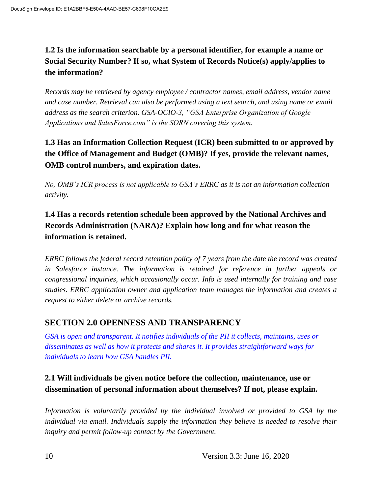## **1.2 Is the information searchable by a personal identifier, for example a name or Social Security Number? If so, what System of Records Notice(s) apply/applies to the information?**

*Records may be retrieved by agency employee / contractor names, email address, vendor name and case number. Retrieval can also be performed using a text search, and using name or email address as the search criterion. GSA-OCIO-3, "GSA Enterprise Organization of Google Applications and SalesForce.com" is the SORN covering this system.*

## **1.3 Has an Information Collection Request (ICR) been submitted to or approved by the Office of Management and Budget (OMB)? If yes, provide the relevant names, OMB control numbers, and expiration dates.**

*No, OMB's ICR process is not applicable to GSA's ERRC as it is not an information collection activity.* 

## **1.4 Has a records retention schedule been approved by the National Archives and Records Administration (NARA)? Explain how long and for what reason the information is retained.**

*ERRC follows the federal record retention policy of 7 years from the date the record was created in Salesforce instance. The information is retained for reference in further appeals or congressional inquiries, which occasionally occur. Info is used internally for training and case studies. ERRC application owner and application team manages the information and creates a request to either delete or archive records.* 

## **SECTION 2.0 OPENNESS AND TRANSPARENCY**

*GSA is open and transparent. It notifies individuals of the PII it collects, maintains, uses or disseminates as well as how it protects and shares it. It provides straightforward ways for individuals to learn how GSA handles PII.*

#### **2.1 Will individuals be given notice before the collection, maintenance, use or dissemination of personal information about themselves? If not, please explain.**

Information is voluntarily provided by the individual involved or provided to GSA by the *individual via email. Individuals supply the information they believe is needed to resolve their inquiry and permit follow-up contact by the Government.*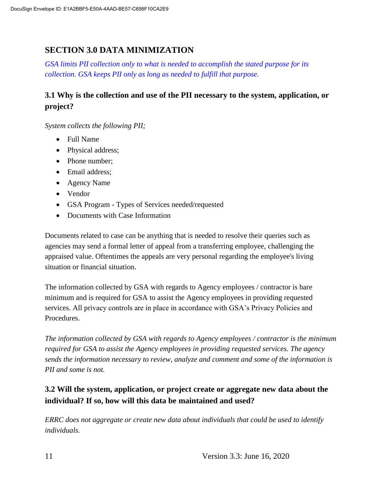#### **SECTION 3.0 DATA MINIMIZATION**

*GSA limits PII collection only to what is needed to accomplish the stated purpose for its collection. GSA keeps PII only as long as needed to fulfill that purpose.*

#### **3.1 Why is the collection and use of the PII necessary to the system, application, or project?**

*System collects the following PII;*

- Full Name
- Physical address;
- Phone number;
- Email address;
- Agency Name
- Vendor
- GSA Program Types of Services needed/requested
- Documents with Case Information

Documents related to case can be anything that is needed to resolve their queries such as agencies may send a formal letter of appeal from a transferring employee, challenging the appraised value. Oftentimes the appeals are very personal regarding the employee's living situation or financial situation.

The information collected by GSA with regards to Agency employees / contractor is bare minimum and is required for GSA to assist the Agency employees in providing requested services. All privacy controls are in place in accordance with GSA's Privacy Policies and Procedures.

*The information collected by GSA with regards to Agency employees / contractor is the minimum required for GSA to assist the Agency employees in providing requested services. The agency sends the information necessary to review, analyze and comment and some of the information is PII and some is not.* 

#### **3.2 Will the system, application, or project create or aggregate new data about the individual? If so, how will this data be maintained and used?**

*ERRC does not aggregate or create new data about individuals that could be used to identify individuals.*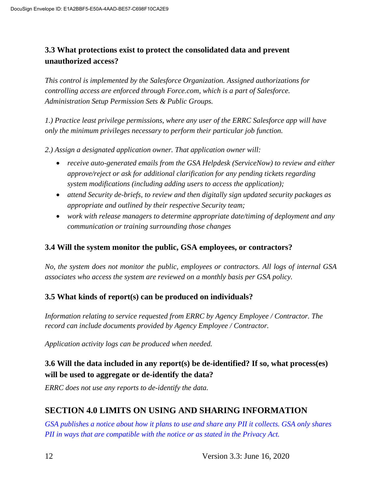#### **3.3 What protections exist to protect the consolidated data and prevent unauthorized access?**

*This control is implemented by the Salesforce Organization. Assigned authorizations for controlling access are enforced through Force.com, which is a part of Salesforce. Administration Setup Permission Sets & Public Groups.*

*1.) Practice least privilege permissions, where any user of the ERRC Salesforce app will have only the minimum privileges necessary to perform their particular job function.*

*2.) Assign a designated application owner. That application owner will:*

- receive auto-generated emails from the GSA Helpdesk (ServiceNow) to review and either *approve/reject or ask for additional clarification for any pending tickets regarding system modifications (including adding users to access the application);*
- *attend Security de-briefs, to review and then digitally sign updated security packages as appropriate and outlined by their respective Security team;*
- *work with release managers to determine appropriate date/timing of deployment and any communication or training surrounding those changes*

#### **3.4 Will the system monitor the public, GSA employees, or contractors?**

*No, the system does not monitor the public, employees or contractors. All logs of internal GSA associates who access the system are reviewed on a monthly basis per GSA policy.* 

#### **3.5 What kinds of report(s) can be produced on individuals?**

*Information relating to service requested from ERRC by Agency Employee / Contractor. The record can include documents provided by Agency Employee / Contractor.*

*Application activity logs can be produced when needed.* 

#### **3.6 Will the data included in any report(s) be de-identified? If so, what process(es) will be used to aggregate or de-identify the data?**

*ERRC does not use any reports to de-identify the data.*

#### **SECTION 4.0 LIMITS ON USING AND SHARING INFORMATION**

*GSA publishes a notice about how it plans to use and share any PII it collects. GSA only shares PII in ways that are compatible with the notice or as stated in the Privacy Act.*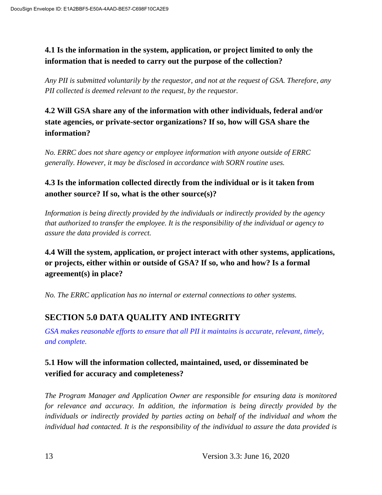#### **4.1 Is the information in the system, application, or project limited to only the information that is needed to carry out the purpose of the collection?**

*Any PII is submitted voluntarily by the requestor, and not at the request of GSA. Therefore, any PII collected is deemed relevant to the request, by the requestor.* 

**4.2 Will GSA share any of the information with other individuals, federal and/or state agencies, or private-sector organizations? If so, how will GSA share the information?**

*No. ERRC does not share agency or employee information with anyone outside of ERRC generally. However, it may be disclosed in accordance with SORN routine uses.* 

#### **4.3 Is the information collected directly from the individual or is it taken from another source? If so, what is the other source(s)?**

*Information is being directly provided by the individuals or indirectly provided by the agency that authorized to transfer the employee. It is the responsibility of the individual or agency to assure the data provided is correct.* 

**4.4 Will the system, application, or project interact with other systems, applications, or projects, either within or outside of GSA? If so, who and how? Is a formal agreement(s) in place?**

*No. The ERRC application has no internal or external connections to other systems.* 

## **SECTION 5.0 DATA QUALITY AND INTEGRITY**

*GSA makes reasonable efforts to ensure that all PII it maintains is accurate, relevant, timely, and complete.*

#### **5.1 How will the information collected, maintained, used, or disseminated be verified for accuracy and completeness?**

*The Program Manager and Application Owner are responsible for ensuring data is monitored for relevance and accuracy. In addition, the information is being directly provided by the individuals or indirectly provided by parties acting on behalf of the individual and whom the individual had contacted. It is the responsibility of the individual to assure the data provided is*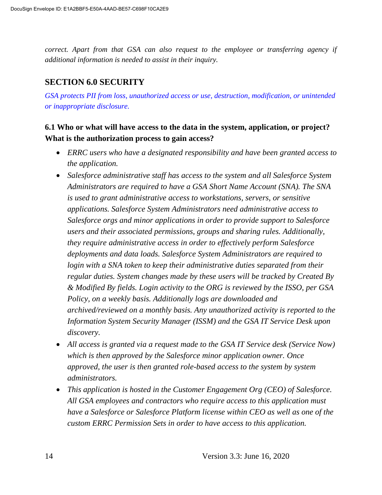*correct. Apart from that GSA can also request to the employee or transferring agency if additional information is needed to assist in their inquiry.* 

#### **SECTION 6.0 SECURITY**

*GSA protects PII from loss, unauthorized access or use, destruction, modification, or unintended or inappropriate disclosure.*

#### **6.1 Who or what will have access to the data in the system, application, or project? What is the authorization process to gain access?**

- *ERRC users who have a designated responsibility and have been granted access to the application.*
- *Salesforce administrative staff has access to the system and all Salesforce System Administrators are required to have a GSA Short Name Account (SNA). The SNA is used to grant administrative access to workstations, servers, or sensitive applications. Salesforce System Administrators need administrative access to Salesforce orgs and minor applications in order to provide support to Salesforce users and their associated permissions, groups and sharing rules. Additionally, they require administrative access in order to effectively perform Salesforce deployments and data loads. Salesforce System Administrators are required to*  login with a SNA token to keep their administrative duties separated from their *regular duties. System changes made by these users will be tracked by Created By & Modified By fields. Login activity to the ORG is reviewed by the ISSO, per GSA Policy, on a weekly basis. Additionally logs are downloaded and archived/reviewed on a monthly basis. Any unauthorized activity is reported to the Information System Security Manager (ISSM) and the GSA IT Service Desk upon discovery.*
- *All access is granted via a request made to the GSA IT Service desk (Service Now) which is then approved by the Salesforce minor application owner. Once approved, the user is then granted role-based access to the system by system administrators.*
- *This application is hosted in the Customer Engagement Org (CEO) of Salesforce. All GSA employees and contractors who require access to this application must have a Salesforce or Salesforce Platform license within CEO as well as one of the custom ERRC Permission Sets in order to have access to this application.*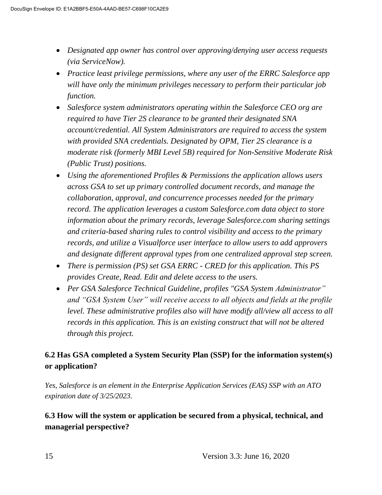- *Designated app owner has control over approving/denying user access requests (via ServiceNow).*
- *Practice least privilege permissions, where any user of the ERRC Salesforce app will have only the minimum privileges necessary to perform their particular job function.*
- *Salesforce system administrators operating within the Salesforce CEO org are required to have Tier 2S clearance to be granted their designated SNA account/credential. All System Administrators are required to access the system with provided SNA credentials. Designated by OPM, Tier 2S clearance is a moderate risk (formerly MBI Level 5B) required for Non-Sensitive Moderate Risk (Public Trust) positions.*
- *Using the aforementioned Profiles & Permissions the application allows users across GSA to set up primary controlled document records, and manage the collaboration, approval, and concurrence processes needed for the primary record. The application leverages a custom Salesforce.com data object to store information about the primary records, leverage Salesforce.com sharing settings and criteria-based sharing rules to control visibility and access to the primary records, and utilize a Visualforce user interface to allow users to add approvers and designate different approval types from one centralized approval step screen.*
- *There is permission (PS) set GSA ERRC - CRED for this application. This PS provides Create, Read. Edit and delete access to the users.*
- *Per GSA Salesforce Technical Guideline, profiles "GSA System Administrator" and "GSA System User" will receive access to all objects and fields at the profile level. These administrative profiles also will have modify all/view all access to all records in this application. This is an existing construct that will not be altered through this project.*

## **6.2 Has GSA completed a System Security Plan (SSP) for the information system(s) or application?**

*Yes, Salesforce is an element in the Enterprise Application Services (EAS) SSP with an ATO expiration date of 3/25/2023.* 

#### **6.3 How will the system or application be secured from a physical, technical, and managerial perspective?**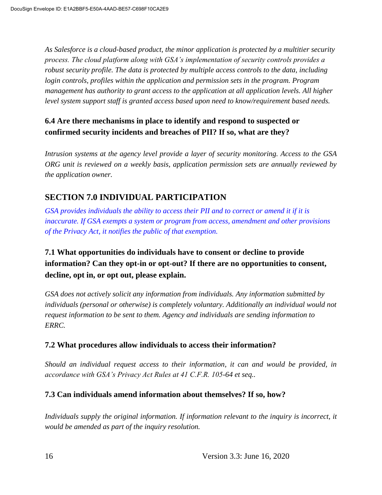*As Salesforce is a cloud-based product, the minor application is protected by a multitier security process. The cloud platform along with GSA's implementation of security controls provides a robust security profile. The data is protected by multiple access controls to the data, including login controls, profiles within the application and permission sets in the program. Program management has authority to grant access to the application at all application levels. All higher level system support staff is granted access based upon need to know/requirement based needs.* 

## **6.4 Are there mechanisms in place to identify and respond to suspected or confirmed security incidents and breaches of PII? If so, what are they?**

*Intrusion systems at the agency level provide a layer of security monitoring. Access to the GSA ORG unit is reviewed on a weekly basis, application permission sets are annually reviewed by the application owner.* 

## **SECTION 7.0 INDIVIDUAL PARTICIPATION**

*GSA provides individuals the ability to access their PII and to correct or amend it if it is inaccurate. If GSA exempts a system or program from access, amendment and other provisions of the Privacy Act, it notifies the public of that exemption.*

## **7.1 What opportunities do individuals have to consent or decline to provide information? Can they opt-in or opt-out? If there are no opportunities to consent, decline, opt in, or opt out, please explain.**

*GSA does not actively solicit any information from individuals. Any information submitted by individuals (personal or otherwise) is completely voluntary. Additionally an individual would not request information to be sent to them. Agency and individuals are sending information to ERRC.* 

#### **7.2 What procedures allow individuals to access their information?**

*Should an individual request access to their information, it can and would be provided, in accordance with GSA's Privacy Act Rules at 41 C.F.R. 105-64 et seq..* 

#### **7.3 Can individuals amend information about themselves? If so, how?**

*Individuals supply the original information. If information relevant to the inquiry is incorrect, it would be amended as part of the inquiry resolution.*